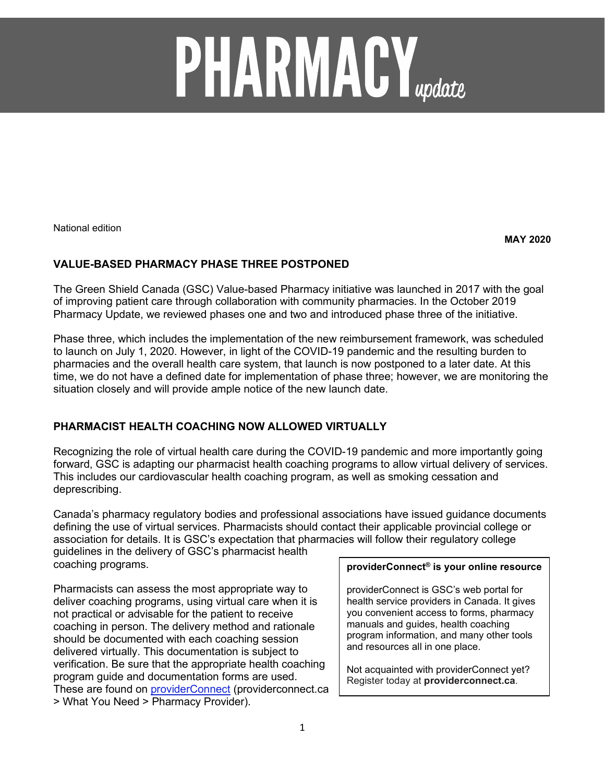# **PHARMACY**<sub>update</sub>

National edition

**MAY 2020**

# **VALUE-BASED PHARMACY PHASE THREE POSTPONED**

The Green Shield Canada (GSC) Value-based Pharmacy initiative was launched in 2017 with the goal of improving patient care through collaboration with community pharmacies. In the October 2019 Pharmacy Update, we reviewed phases one and two and introduced phase three of the initiative.

Phase three, which includes the implementation of the new reimbursement framework, was scheduled to launch on July 1, 2020. However, in light of the COVID-19 pandemic and the resulting burden to pharmacies and the overall health care system, that launch is now postponed to a later date. At this time, we do not have a defined date for implementation of phase three; however, we are monitoring the situation closely and will provide ample notice of the new launch date.

# **PHARMACIST HEALTH COACHING NOW ALLOWED VIRTUALLY**

Recognizing the role of virtual health care during the COVID-19 pandemic and more importantly going forward, GSC is adapting our pharmacist health coaching programs to allow virtual delivery of services. This includes our cardiovascular health coaching program, as well as smoking cessation and deprescribing.

Canada's pharmacy regulatory bodies and professional associations have issued guidance documents defining the use of virtual services. Pharmacists should contact their applicable provincial college or association for details. It is GSC's expectation that pharmacies will follow their regulatory college guidelines in the delivery of GSC's pharmacist health

coaching programs.

Pharmacists can assess the most appropriate way to deliver coaching programs, using virtual care when it is not practical or advisable for the patient to receive coaching in person. The delivery method and rationale should be documented with each coaching session delivered virtually. This documentation is subject to verification. Be sure that the appropriate health coaching program guide and documentation forms are used. These are found on **providerConnect** (providerconnect.ca > What You Need > Pharmacy Provider).

### **providerConnect® is your online resource**

providerConnect is GSC's web portal for health service providers in Canada. It gives you convenient access to forms, pharmacy manuals and guides, health coaching program information, and many other tools and resources all in one place.

Not acquainted with providerConnect yet? Register today at **providerconnect.ca**.